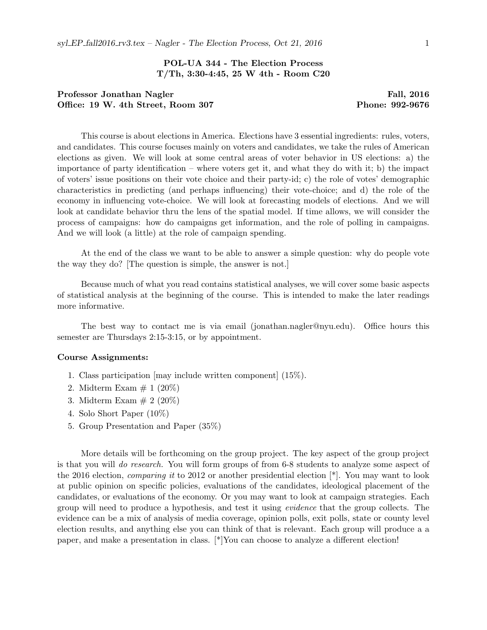# POL-UA 344 - The Election Process T/Th, 3:30-4:45, 25 W 4th - Room C20

# Professor Jonathan Nagler Fall, 2016 Office: 19 W. 4th Street, Room 307 Phone: 992-9676

This course is about elections in America. Elections have 3 essential ingredients: rules, voters, and candidates. This course focuses mainly on voters and candidates, we take the rules of American elections as given. We will look at some central areas of voter behavior in US elections: a) the importance of party identification – where voters get it, and what they do with it; b) the impact of voters' issue positions on their vote choice and their party-id; c) the role of votes' demographic characteristics in predicting (and perhaps influencing) their vote-choice; and d) the role of the economy in influencing vote-choice. We will look at forecasting models of elections. And we will look at candidate behavior thru the lens of the spatial model. If time allows, we will consider the process of campaigns: how do campaigns get information, and the role of polling in campaigns. And we will look (a little) at the role of campaign spending.

At the end of the class we want to be able to answer a simple question: why do people vote the way they do? [The question is simple, the answer is not.]

Because much of what you read contains statistical analyses, we will cover some basic aspects of statistical analysis at the beginning of the course. This is intended to make the later readings more informative.

The best way to contact me is via email (jonathan.nagler@nyu.edu). Office hours this semester are Thursdays 2:15-3:15, or by appointment.

#### Course Assignments:

- 1. Class participation [may include written component] (15%).
- 2. Midterm Exam  $\# 1 (20\%)$
- 3. Midterm Exam  $# 2 (20\%)$
- 4. Solo Short Paper (10%)
- 5. Group Presentation and Paper (35%)

More details will be forthcoming on the group project. The key aspect of the group project is that you will do research. You will form groups of from 6-8 students to analyze some aspect of the 2016 election, *comparing it* to 2012 or another presidential election  $*$ . You may want to look at public opinion on specific policies, evaluations of the candidates, ideological placement of the candidates, or evaluations of the economy. Or you may want to look at campaign strategies. Each group will need to produce a hypothesis, and test it using evidence that the group collects. The evidence can be a mix of analysis of media coverage, opinion polls, exit polls, state or county level election results, and anything else you can think of that is relevant. Each group will produce a a paper, and make a presentation in class.  $[*/]$ You can choose to analyze a different election!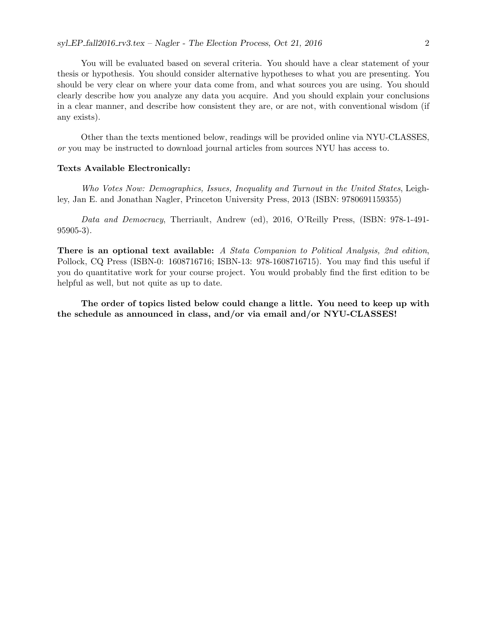You will be evaluated based on several criteria. You should have a clear statement of your thesis or hypothesis. You should consider alternative hypotheses to what you are presenting. You should be very clear on where your data come from, and what sources you are using. You should clearly describe how you analyze any data you acquire. And you should explain your conclusions in a clear manner, and describe how consistent they are, or are not, with conventional wisdom (if any exists).

Other than the texts mentioned below, readings will be provided online via NYU-CLASSES, or you may be instructed to download journal articles from sources NYU has access to.

### Texts Available Electronically:

Who Votes Now: Demographics, Issues, Inequality and Turnout in the United States, Leighley, Jan E. and Jonathan Nagler, Princeton University Press, 2013 (ISBN: 9780691159355)

Data and Democracy, Therriault, Andrew (ed), 2016, O'Reilly Press, (ISBN: 978-1-491- 95905-3).

There is an optional text available: A Stata Companion to Political Analysis, 2nd edition, Pollock, CQ Press (ISBN-0: 1608716716; ISBN-13: 978-1608716715). You may find this useful if you do quantitative work for your course project. You would probably find the first edition to be helpful as well, but not quite as up to date.

The order of topics listed below could change a little. You need to keep up with the schedule as announced in class, and/or via email and/or NYU-CLASSES!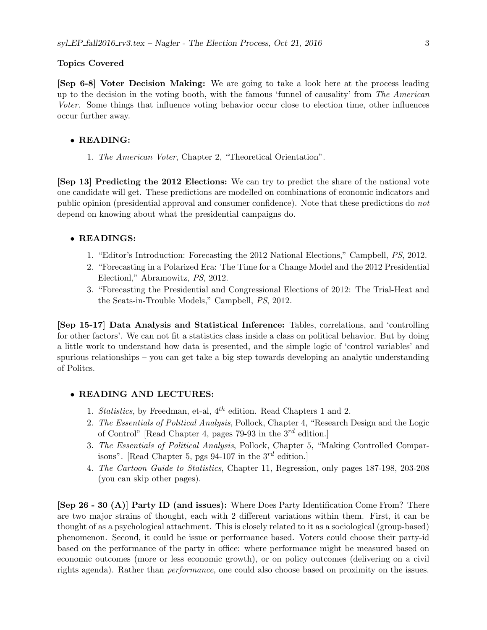#### Topics Covered

[Sep 6-8] Voter Decision Making: We are going to take a look here at the process leading up to the decision in the voting booth, with the famous 'funnel of causality' from The American Voter. Some things that influence voting behavior occur close to election time, other influences occur further away.

## • READING:

1. The American Voter, Chapter 2, "Theoretical Orientation".

[Sep 13] Predicting the 2012 Elections: We can try to predict the share of the national vote one candidate will get. These predictions are modelled on combinations of economic indicators and public opinion (presidential approval and consumer confidence). Note that these predictions do not depend on knowing about what the presidential campaigns do.

#### • READINGS:

- 1. "Editor's Introduction: Forecasting the 2012 National Elections," Campbell, PS, 2012.
- 2. "Forecasting in a Polarized Era: The Time for a Change Model and the 2012 Presidential Electionl," Abramowitz, PS, 2012.
- 3. "Forecasting the Presidential and Congressional Elections of 2012: The Trial-Heat and the Seats-in-Trouble Models," Campbell, PS, 2012.

[Sep 15-17] Data Analysis and Statistical Inference: Tables, correlations, and 'controlling for other factors'. We can not fit a statistics class inside a class on political behavior. But by doing a little work to understand how data is presented, and the simple logic of 'control variables' and spurious relationships – you can get take a big step towards developing an analytic understanding of Politcs.

### • READING AND LECTURES:

- 1. Statistics, by Freedman, et-al,  $4^{th}$  edition. Read Chapters 1 and 2.
- 2. The Essentials of Political Analysis, Pollock, Chapter 4, "Research Design and the Logic of Control" [Read Chapter 4, pages 79-93 in the  $3^{rd}$  edition.]
- 3. The Essentials of Political Analysis, Pollock, Chapter 5, "Making Controlled Comparisons". [Read Chapter 5, pgs 94-107 in the  $3^{rd}$  edition.]
- 4. The Cartoon Guide to Statistics, Chapter 11, Regression, only pages 187-198, 203-208 (you can skip other pages).

[Sep 26 - 30 (A)] Party ID (and issues): Where Does Party Identification Come From? There are two major strains of thought, each with 2 different variations within them. First, it can be thought of as a psychological attachment. This is closely related to it as a sociological (group-based) phenomenon. Second, it could be issue or performance based. Voters could choose their party-id based on the performance of the party in office: where performance might be measured based on economic outcomes (more or less economic growth), or on policy outcomes (delivering on a civil rights agenda). Rather than performance, one could also choose based on proximity on the issues.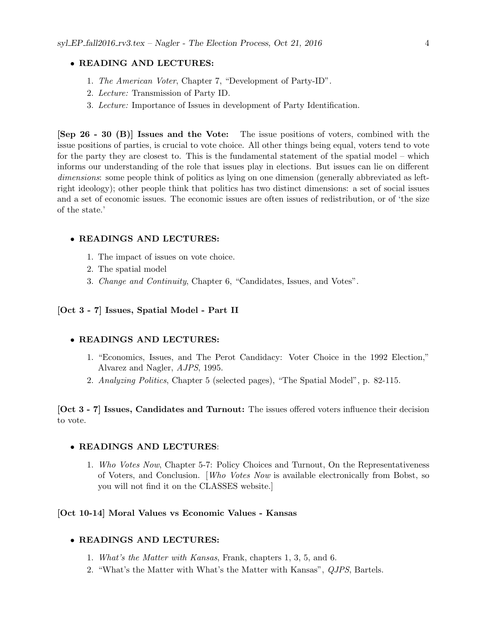## • READING AND LECTURES:

- 1. The American Voter, Chapter 7, "Development of Party-ID".
- 2. Lecture: Transmission of Party ID.
- 3. Lecture: Importance of Issues in development of Party Identification.

[Sep 26 - 30 (B)] Issues and the Vote: The issue positions of voters, combined with the issue positions of parties, is crucial to vote choice. All other things being equal, voters tend to vote for the party they are closest to. This is the fundamental statement of the spatial model – which informs our understanding of the role that issues play in elections. But issues can lie on different dimensions: some people think of politics as lying on one dimension (generally abbreviated as leftright ideology); other people think that politics has two distinct dimensions: a set of social issues and a set of economic issues. The economic issues are often issues of redistribution, or of 'the size of the state.'

## • READINGS AND LECTURES:

- 1. The impact of issues on vote choice.
- 2. The spatial model
- 3. Change and Continuity, Chapter 6, "Candidates, Issues, and Votes".

## [Oct 3 - 7] Issues, Spatial Model - Part II

# • READINGS AND LECTURES:

- 1. "Economics, Issues, and The Perot Candidacy: Voter Choice in the 1992 Election," Alvarez and Nagler, AJPS, 1995.
- 2. Analyzing Politics, Chapter 5 (selected pages), "The Spatial Model", p. 82-115.

[Oct 3 - 7] Issues, Candidates and Turnout: The issues offered voters influence their decision to vote.

## • READINGS AND LECTURES:

1. Who Votes Now, Chapter 5-7: Policy Choices and Turnout, On the Representativeness of Voters, and Conclusion. [Who Votes Now is available electronically from Bobst, so you will not find it on the CLASSES website.]

## [Oct 10-14] Moral Values vs Economic Values - Kansas

#### • READINGS AND LECTURES:

- 1. What's the Matter with Kansas, Frank, chapters 1, 3, 5, and 6.
- 2. "What's the Matter with What's the Matter with Kansas", QJPS, Bartels.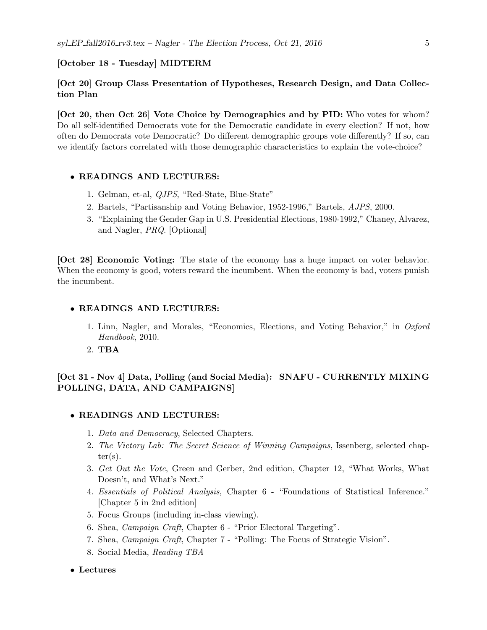#### [October 18 - Tuesday] MIDTERM

# [Oct 20] Group Class Presentation of Hypotheses, Research Design, and Data Collection Plan

[Oct 20, then Oct 26] Vote Choice by Demographics and by PID: Who votes for whom? Do all self-identified Democrats vote for the Democratic candidate in every election? If not, how often do Democrats vote Democratic? Do different demographic groups vote differently? If so, can we identify factors correlated with those demographic characteristics to explain the vote-choice?

## • READINGS AND LECTURES:

- 1. Gelman, et-al, QJPS, "Red-State, Blue-State"
- 2. Bartels, "Partisanship and Voting Behavior, 1952-1996," Bartels, AJPS, 2000.
- 3. "Explaining the Gender Gap in U.S. Presidential Elections, 1980-1992," Chaney, Alvarez, and Nagler, PRQ. [Optional]

[Oct 28] Economic Voting: The state of the economy has a huge impact on voter behavior. When the economy is good, voters reward the incumbent. When the economy is bad, voters punish the incumbent.

#### • READINGS AND LECTURES:

- 1. Linn, Nagler, and Morales, "Economics, Elections, and Voting Behavior," in Oxford Handbook, 2010.
- 2. TBA

# [Oct 31 - Nov 4] Data, Polling (and Social Media): SNAFU - CURRENTLY MIXING POLLING, DATA, AND CAMPAIGNS]

## • READINGS AND LECTURES:

- 1. Data and Democracy, Selected Chapters.
- 2. The Victory Lab: The Secret Science of Winning Campaigns, Issenberg, selected chap $ter(s)$ .
- 3. Get Out the Vote, Green and Gerber, 2nd edition, Chapter 12, "What Works, What Doesn't, and What's Next."
- 4. Essentials of Political Analysis, Chapter 6 "Foundations of Statistical Inference." [Chapter 5 in 2nd edition]
- 5. Focus Groups (including in-class viewing).
- 6. Shea, Campaign Craft, Chapter 6 "Prior Electoral Targeting".
- 7. Shea, Campaign Craft, Chapter 7 "Polling: The Focus of Strategic Vision".
- 8. Social Media, Reading TBA

#### • Lectures